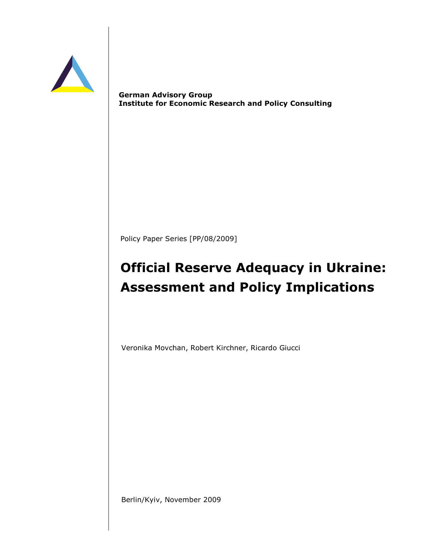

German Advisory Group Institute for Economic Research and Policy Consulting

Policy Paper Series [PP/08/2009]

# Official Reserve Adequacy in Ukraine: Assessment and Policy Implications

Veronika Movchan, Robert Kirchner, Ricardo Giucci

Berlin/Kyiv, November 2009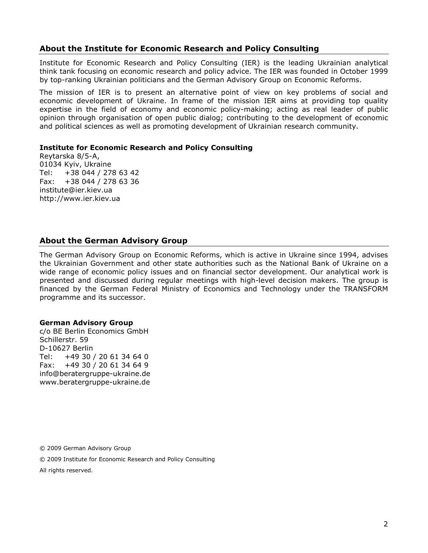# About the Institute for Economic Research and Policy Consulting

Institute for Economic Research and Policy Consulting (IER) is the leading Ukrainian analytical think tank focusing on economic research and policy advice. The IER was founded in October 1999 by top-ranking Ukrainian politicians and the German Advisory Group on Economic Reforms.

The mission of IER is to present an alternative point of view on key problems of social and economic development of Ukraine. In frame of the mission IER aims at providing top quality expertise in the field of economy and economic policy-making; acting as real leader of public opinion through organisation of open public dialog; contributing to the development of economic and political sciences as well as promoting development of Ukrainian research community.

#### Institute for Economic Research and Policy Consulting

Reytarska 8/5-A, 01034 Kyiv, Ukraine Tel: +38 044 / 278 63 42 Fax: +38 044 / 278 63 36 institute@ier.kiev.ua http://www.ier.kiev.ua

# About the German Advisory Group

The German Advisory Group on Economic Reforms, which is active in Ukraine since 1994, advises the Ukrainian Government and other state authorities such as the National Bank of Ukraine on a wide range of economic policy issues and on financial sector development. Our analytical work is presented and discussed during regular meetings with high-level decision makers. The group is financed by the German Federal Ministry of Economics and Technology under the TRANSFORM programme and its successor.

#### German Advisory Group

c/o BE Berlin Economics GmbH Schillerstr. 59 D-10627 Berlin Tel: +49 30 / 20 61 34 64 0 Fax: +49 30 / 20 61 34 64 9 info@beratergruppe-ukraine.de www.beratergruppe-ukraine.de

© 2009 German Advisory Group

© 2009 Institute for Economic Research and Policy Consulting

All rights reserved.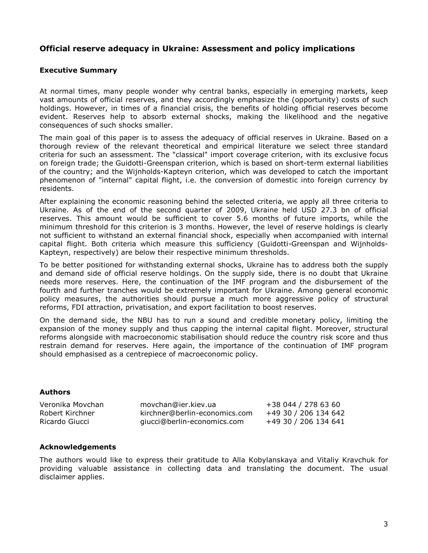# Official reserve adequacy in Ukraine: Assessment and policy implications

#### Executive Summary

At normal times, many people wonder why central banks, especially in emerging markets, keep vast amounts of official reserves, and they accordingly emphasize the (opportunity) costs of such holdings. However, in times of a financial crisis, the benefits of holding official reserves become evident. Reserves help to absorb external shocks, making the likelihood and the negative consequences of such shocks smaller.

The main goal of this paper is to assess the adequacy of official reserves in Ukraine. Based on a thorough review of the relevant theoretical and empirical literature we select three standard criteria for such an assessment. The "classical" import coverage criterion, with its exclusive focus on foreign trade; the Guidotti-Greenspan criterion, which is based on short-term external liabilities of the country; and the Wijnholds-Kapteyn criterion, which was developed to catch the important phenomenon of "internal" capital flight, i.e. the conversion of domestic into foreign currency by residents.

After explaining the economic reasoning behind the selected criteria, we apply all three criteria to Ukraine. As of the end of the second quarter of 2009, Ukraine held USD 27.3 bn of official reserves. This amount would be sufficient to cover 5.6 months of future imports, while the minimum threshold for this criterion is 3 months. However, the level of reserve holdings is clearly not sufficient to withstand an external financial shock, especially when accompanied with internal capital flight. Both criteria which measure this sufficiency (Guidotti-Greenspan and Wijnholds-Kapteyn, respectively) are below their respective minimum thresholds.

To be better positioned for withstanding external shocks, Ukraine has to address both the supply and demand side of official reserve holdings. On the supply side, there is no doubt that Ukraine needs more reserves. Here, the continuation of the IMF program and the disbursement of the fourth and further tranches would be extremely important for Ukraine. Among general economic policy measures, the authorities should pursue a much more aggressive policy of structural reforms, FDI attraction, privatisation, and export facilitation to boost reserves.

On the demand side, the NBU has to run a sound and credible monetary policy, limiting the expansion of the money supply and thus capping the internal capital flight. Moreover, structural reforms alongside with macroeconomic stabilisation should reduce the country risk score and thus restrain demand for reserves. Here again, the importance of the continuation of IMF program should emphasised as a centrepiece of macroeconomic policy.

#### Authors

| Veronika Movchan | movchan@ier.kiev.ua           | +38 044 / 278 63 60  |
|------------------|-------------------------------|----------------------|
| Robert Kirchner  | kirchner@berlin-economics.com | +49 30 / 206 134 642 |
| Ricardo Giucci   | giucci@berlin-economics.com   | +49 30 / 206 134 641 |

#### Acknowledgements

The authors would like to express their gratitude to Alla Kobylanskaya and Vitaliy Kravchuk for providing valuable assistance in collecting data and translating the document. The usual disclaimer applies.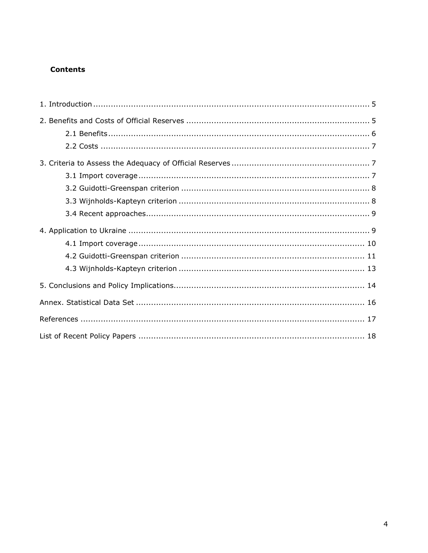# **Contents**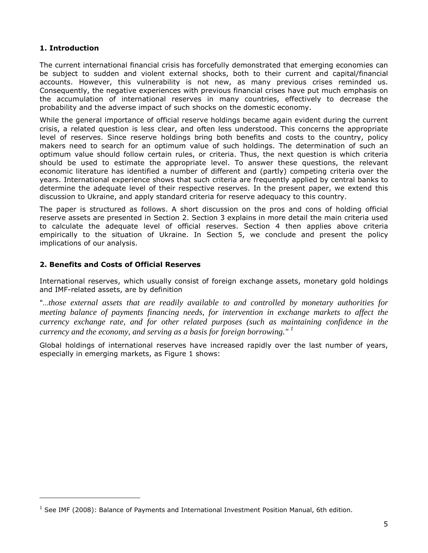## 1. Introduction

l

The current international financial crisis has forcefully demonstrated that emerging economies can be subject to sudden and violent external shocks, both to their current and capital/financial accounts. However, this vulnerability is not new, as many previous crises reminded us. Consequently, the negative experiences with previous financial crises have put much emphasis on the accumulation of international reserves in many countries, effectively to decrease the probability and the adverse impact of such shocks on the domestic economy.

While the general importance of official reserve holdings became again evident during the current crisis, a related question is less clear, and often less understood. This concerns the appropriate level of reserves. Since reserve holdings bring both benefits and costs to the country, policy makers need to search for an optimum value of such holdings. The determination of such an optimum value should follow certain rules, or criteria. Thus, the next question is which criteria should be used to estimate the appropriate level. To answer these questions, the relevant economic literature has identified a number of different and (partly) competing criteria over the years. International experience shows that such criteria are frequently applied by central banks to determine the adequate level of their respective reserves. In the present paper, we extend this discussion to Ukraine, and apply standard criteria for reserve adequacy to this country.

The paper is structured as follows. A short discussion on the pros and cons of holding official reserve assets are presented in Section 2. Section 3 explains in more detail the main criteria used to calculate the adequate level of official reserves. Section 4 then applies above criteria empirically to the situation of Ukraine. In Section 5, we conclude and present the policy implications of our analysis.

## 2. Benefits and Costs of Official Reserves

International reserves, which usually consist of foreign exchange assets, monetary gold holdings and IMF-related assets, are by definition

"…*those external assets that are readily available to and controlled by monetary authorities for meeting balance of payments financing needs, for intervention in exchange markets to affect the currency exchange rate, and for other related purposes (such as maintaining confidence in the currency and the economy, and serving as a basis for foreign borrowing." <sup>1</sup>*

Global holdings of international reserves have increased rapidly over the last number of years, especially in emerging markets, as Figure 1 shows:

<sup>&</sup>lt;sup>1</sup> See IMF (2008): Balance of Payments and International Investment Position Manual, 6th edition.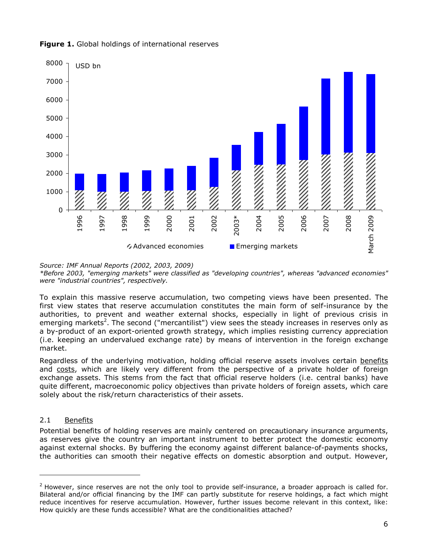

Figure 1. Global holdings of international reserves

Source: IMF Annual Reports (2002, 2003, 2009)

\*Before 2003, "emerging markets" were classified as "developing countries", whereas "advanced economies" were "industrial countries", respectively.

To explain this massive reserve accumulation, two competing views have been presented. The first view states that reserve accumulation constitutes the main form of self-insurance by the authorities, to prevent and weather external shocks, especially in light of previous crisis in emerging markets<sup>2</sup>. The second ("mercantilist") view sees the steady increases in reserves only as a by-product of an export-oriented growth strategy, which implies resisting currency appreciation (i.e. keeping an undervalued exchange rate) by means of intervention in the foreign exchange market.

Regardless of the underlying motivation, holding official reserve assets involves certain benefits and costs, which are likely very different from the perspective of a private holder of foreign exchange assets. This stems from the fact that official reserve holders (i.e. central banks) have quite different, macroeconomic policy objectives than private holders of foreign assets, which care solely about the risk/return characteristics of their assets.

## 2.1 Benefits

-

Potential benefits of holding reserves are mainly centered on precautionary insurance arguments, as reserves give the country an important instrument to better protect the domestic economy against external shocks. By buffering the economy against different balance-of-payments shocks, the authorities can smooth their negative effects on domestic absorption and output. However,

 $<sup>2</sup>$  However, since reserves are not the only tool to provide self-insurance, a broader approach is called for.</sup> Bilateral and/or official financing by the IMF can partly substitute for reserve holdings, a fact which might reduce incentives for reserve accumulation. However, further issues become relevant in this context, like: How quickly are these funds accessible? What are the conditionalities attached?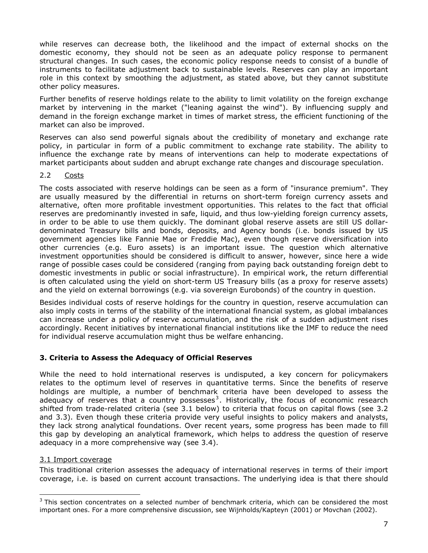while reserves can decrease both, the likelihood and the impact of external shocks on the domestic economy, they should not be seen as an adequate policy response to permanent structural changes. In such cases, the economic policy response needs to consist of a bundle of instruments to facilitate adjustment back to sustainable levels. Reserves can play an important role in this context by smoothing the adjustment, as stated above, but they cannot substitute other policy measures.

Further benefits of reserve holdings relate to the ability to limit volatility on the foreign exchange market by intervening in the market ("leaning against the wind"). By influencing supply and demand in the foreign exchange market in times of market stress, the efficient functioning of the market can also be improved.

Reserves can also send powerful signals about the credibility of monetary and exchange rate policy, in particular in form of a public commitment to exchange rate stability. The ability to influence the exchange rate by means of interventions can help to moderate expectations of market participants about sudden and abrupt exchange rate changes and discourage speculation.

#### 2.2 Costs

The costs associated with reserve holdings can be seen as a form of "insurance premium". They are usually measured by the differential in returns on short-term foreign currency assets and alternative, often more profitable investment opportunities. This relates to the fact that official reserves are predominantly invested in safe, liquid, and thus low-yielding foreign currency assets, in order to be able to use them quickly. The dominant global reserve assets are still US dollardenominated Treasury bills and bonds, deposits, and Agency bonds (i.e. bonds issued by US government agencies like Fannie Mae or Freddie Mac), even though reserve diversification into other currencies (e.g. Euro assets) is an important issue. The question which alternative investment opportunities should be considered is difficult to answer, however, since here a wide range of possible cases could be considered (ranging from paying back outstanding foreign debt to domestic investments in public or social infrastructure). In empirical work, the return differential is often calculated using the yield on short-term US Treasury bills (as a proxy for reserve assets) and the yield on external borrowings (e.g. via sovereign Eurobonds) of the country in question.

Besides individual costs of reserve holdings for the country in question, reserve accumulation can also imply costs in terms of the stability of the international financial system, as global imbalances can increase under a policy of reserve accumulation, and the risk of a sudden adjustment rises accordingly. Recent initiatives by international financial institutions like the IMF to reduce the need for individual reserve accumulation might thus be welfare enhancing.

## 3. Criteria to Assess the Adequacy of Official Reserves

While the need to hold international reserves is undisputed, a key concern for policymakers relates to the optimum level of reserves in quantitative terms. Since the benefits of reserve holdings are multiple, a number of benchmark criteria have been developed to assess the adequacy of reserves that a country possesses<sup>3</sup>. Historically, the focus of economic research shifted from trade-related criteria (see 3.1 below) to criteria that focus on capital flows (see 3.2 and 3.3). Even though these criteria provide very useful insights to policy makers and analysts, they lack strong analytical foundations. Over recent years, some progress has been made to fill this gap by developing an analytical framework, which helps to address the question of reserve adequacy in a more comprehensive way (see 3.4).

#### 3.1 Import coverage

l

This traditional criterion assesses the adequacy of international reserves in terms of their import coverage, i.e. is based on current account transactions. The underlying idea is that there should

 $3$  This section concentrates on a selected number of benchmark criteria, which can be considered the most important ones. For a more comprehensive discussion, see Wijnholds/Kapteyn (2001) or Movchan (2002).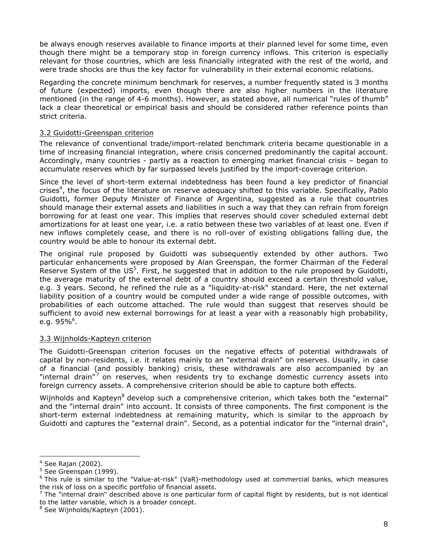be always enough reserves available to finance imports at their planned level for some time, even though there might be a temporary stop in foreign currency inflows. This criterion is especially relevant for those countries, which are less financially integrated with the rest of the world, and were trade shocks are thus the key factor for vulnerability in their external economic relations.

Regarding the concrete minimum benchmark for reserves, a number frequently stated is 3 months of future (expected) imports, even though there are also higher numbers in the literature mentioned (in the range of 4-6 months). However, as stated above, all numerical "rules of thumb" lack a clear theoretical or empirical basis and should be considered rather reference points than strict criteria.

## 3.2 Guidotti-Greenspan criterion

The relevance of conventional trade/import-related benchmark criteria became questionable in a time of increasing financial integration, where crisis concerned predominantly the capital account. Accordingly, many countries - partly as a reaction to emerging market financial crisis – began to accumulate reserves which by far surpassed levels justified by the import-coverage criterion.

Since the level of short-term external indebtedness has been found a key predictor of financial crises<sup>4</sup>, the focus of the literature on reserve adequacy shifted to this variable. Specifically, Pablo Guidotti, former Deputy Minister of Finance of Argentina, suggested as a rule that countries should manage their external assets and liabilities in such a way that they can refrain from foreign borrowing for at least one year. This implies that reserves should cover scheduled external debt amortizations for at least one year, i.e. a ratio between these two variables of at least one. Even if new inflows completely cease, and there is no roll-over of existing obligations falling due, the country would be able to honour its external debt.

The original rule proposed by Guidotti was subsequently extended by other authors. Two particular enhancements were proposed by Alan Greenspan, the former Chairman of the Federal Reserve System of the US<sup>5</sup>. First, he suggested that in addition to the rule proposed by Guidotti, the average maturity of the external debt of a country should exceed a certain threshold value, e.g. 3 years. Second, he refined the rule as a "liquidity-at-risk" standard. Here, the net external liability position of a country would be computed under a wide range of possible outcomes, with probabilities of each outcome attached. The rule would than suggest that reserves should be sufficient to avoid new external borrowings for at least a year with a reasonably high probability, e.g. 95%<sup>6</sup>.

#### 3.3 Wijnholds-Kapteyn criterion

The Guidotti-Greenspan criterion focuses on the negative effects of potential withdrawals of capital by non-residents, i.e. it relates mainly to an "external drain" on reserves. Usually, in case of a financial (and possibly banking) crisis, these withdrawals are also accompanied by an "internal drain"<sup>7</sup> on reserves, when residents try to exchange domestic currency assets into foreign currency assets. A comprehensive criterion should be able to capture both effects.

Wijnholds and Kapteyn<sup>8</sup> develop such a comprehensive criterion, which takes both the "external" and the "internal drain" into account. It consists of three components. The first component is the short-term external indebtedness at remaining maturity, which is similar to the approach by Guidotti and captures the "external drain". Second, as a potential indicator for the "internal drain",

l 4 See Rajan (2002).

<sup>&</sup>lt;sup>5</sup> See Greenspan (1999).

<sup>&</sup>lt;sup>6</sup> This rule is similar to the "Value-at-risk" (VaR)-methodology used at commercial banks, which measures the risk of loss on a specific portfolio of financial assets.

 $^7$  The "internal drain" described above is one particular form of capital flight by residents, but is not identical to the latter variable, which is a broader concept.

<sup>&</sup>lt;sup>8</sup> See Wijnholds/Kapteyn (2001).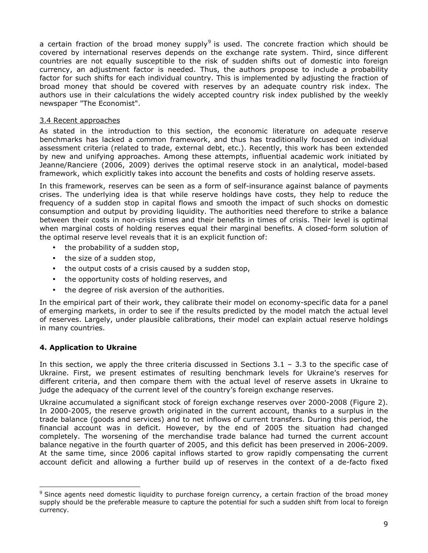a certain fraction of the broad money supply<sup>9</sup> is used. The concrete fraction which should be covered by international reserves depends on the exchange rate system. Third, since different countries are not equally susceptible to the risk of sudden shifts out of domestic into foreign currency, an adjustment factor is needed. Thus, the authors propose to include a probability factor for such shifts for each individual country. This is implemented by adjusting the fraction of broad money that should be covered with reserves by an adequate country risk index. The authors use in their calculations the widely accepted country risk index published by the weekly newspaper "The Economist".

## 3.4 Recent approaches

As stated in the introduction to this section, the economic literature on adequate reserve benchmarks has lacked a common framework, and thus has traditionally focused on individual assessment criteria (related to trade, external debt, etc.). Recently, this work has been extended by new and unifying approaches. Among these attempts, influential academic work initiated by Jeanne/Ranciere (2006, 2009) derives the optimal reserve stock in an analytical, model-based framework, which explicitly takes into account the benefits and costs of holding reserve assets.

In this framework, reserves can be seen as a form of self-insurance against balance of payments crises. The underlying idea is that while reserve holdings have costs, they help to reduce the frequency of a sudden stop in capital flows and smooth the impact of such shocks on domestic consumption and output by providing liquidity. The authorities need therefore to strike a balance between their costs in non-crisis times and their benefits in times of crisis. Their level is optimal when marginal costs of holding reserves equal their marginal benefits. A closed-form solution of the optimal reserve level reveals that it is an explicit function of:

- the probability of a sudden stop,
- the size of a sudden stop,
- the output costs of a crisis caused by a sudden stop,
- the opportunity costs of holding reserves, and
- the degree of risk aversion of the authorities.

In the empirical part of their work, they calibrate their model on economy-specific data for a panel of emerging markets, in order to see if the results predicted by the model match the actual level of reserves. Largely, under plausible calibrations, their model can explain actual reserve holdings in many countries.

## 4. Application to Ukraine

-

In this section, we apply the three criteria discussed in Sections  $3.1 - 3.3$  to the specific case of Ukraine. First, we present estimates of resulting benchmark levels for Ukraine's reserves for different criteria, and then compare them with the actual level of reserve assets in Ukraine to judge the adequacy of the current level of the country's foreign exchange reserves.

Ukraine accumulated a significant stock of foreign exchange reserves over 2000-2008 (Figure 2). In 2000-2005, the reserve growth originated in the current account, thanks to a surplus in the trade balance (goods and services) and to net inflows of current transfers. During this period, the financial account was in deficit. However, by the end of 2005 the situation had changed completely. The worsening of the merchandise trade balance had turned the current account balance negative in the fourth quarter of 2005, and this deficit has been preserved in 2006-2009. At the same time, since 2006 capital inflows started to grow rapidly compensating the current account deficit and allowing a further build up of reserves in the context of a de-facto fixed

<sup>&</sup>lt;sup>9</sup> Since agents need domestic liquidity to purchase foreign currency, a certain fraction of the broad money supply should be the preferable measure to capture the potential for such a sudden shift from local to foreign currency.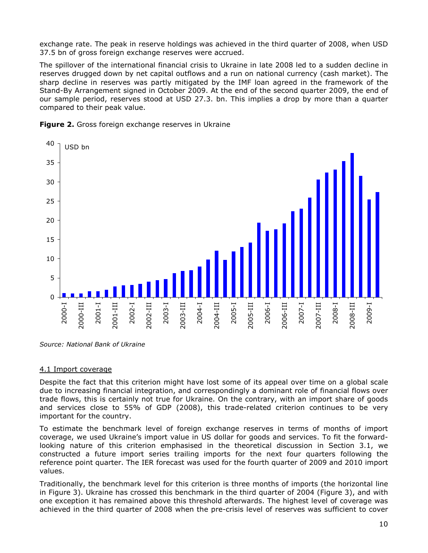exchange rate. The peak in reserve holdings was achieved in the third quarter of 2008, when USD 37.5 bn of gross foreign exchange reserves were accrued.

The spillover of the international financial crisis to Ukraine in late 2008 led to a sudden decline in reserves drugged down by net capital outflows and a run on national currency (cash market). The sharp decline in reserves was partly mitigated by the IMF loan agreed in the framework of the Stand-By Arrangement signed in October 2009. At the end of the second quarter 2009, the end of our sample period, reserves stood at USD 27.3. bn. This implies a drop by more than a quarter compared to their peak value.





Source: National Bank of Ukraine

#### 4.1 Import coverage

Despite the fact that this criterion might have lost some of its appeal over time on a global scale due to increasing financial integration, and correspondingly a dominant role of financial flows over trade flows, this is certainly not true for Ukraine. On the contrary, with an import share of goods and services close to 55% of GDP (2008), this trade-related criterion continues to be very important for the country.

To estimate the benchmark level of foreign exchange reserves in terms of months of import coverage, we used Ukraine's import value in US dollar for goods and services. To fit the forwardlooking nature of this criterion emphasised in the theoretical discussion in Section 3.1, we constructed a future import series trailing imports for the next four quarters following the reference point quarter. The IER forecast was used for the fourth quarter of 2009 and 2010 import values.

Traditionally, the benchmark level for this criterion is three months of imports (the horizontal line in Figure 3). Ukraine has crossed this benchmark in the third quarter of 2004 (Figure 3), and with one exception it has remained above this threshold afterwards. The highest level of coverage was achieved in the third quarter of 2008 when the pre-crisis level of reserves was sufficient to cover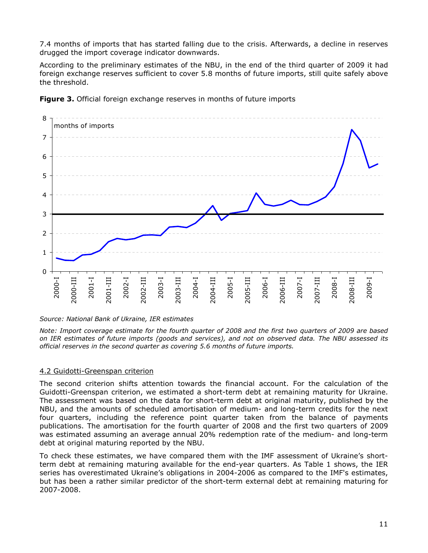7.4 months of imports that has started falling due to the crisis. Afterwards, a decline in reserves drugged the import coverage indicator downwards.

According to the preliminary estimates of the NBU, in the end of the third quarter of 2009 it had foreign exchange reserves sufficient to cover 5.8 months of future imports, still quite safely above the threshold.



**Figure 3.** Official foreign exchange reserves in months of future imports

#### Source: National Bank of Ukraine, IER estimates

Note: Import coverage estimate for the fourth quarter of 2008 and the first two quarters of 2009 are based on IER estimates of future imports (goods and services), and not on observed data. The NBU assessed its official reserves in the second quarter as covering 5.6 months of future imports.

#### 4.2 Guidotti-Greenspan criterion

The second criterion shifts attention towards the financial account. For the calculation of the Guidotti-Greenspan criterion, we estimated a short-term debt at remaining maturity for Ukraine. The assessment was based on the data for short-term debt at original maturity, published by the NBU, and the amounts of scheduled amortisation of medium- and long-term credits for the next four quarters, including the reference point quarter taken from the balance of payments publications. The amortisation for the fourth quarter of 2008 and the first two quarters of 2009 was estimated assuming an average annual 20% redemption rate of the medium- and long-term debt at original maturing reported by the NBU.

To check these estimates, we have compared them with the IMF assessment of Ukraine's shortterm debt at remaining maturing available for the end-year quarters. As Table 1 shows, the IER series has overestimated Ukraine's obligations in 2004-2006 as compared to the IMF's estimates, but has been a rather similar predictor of the short-term external debt at remaining maturing for 2007-2008.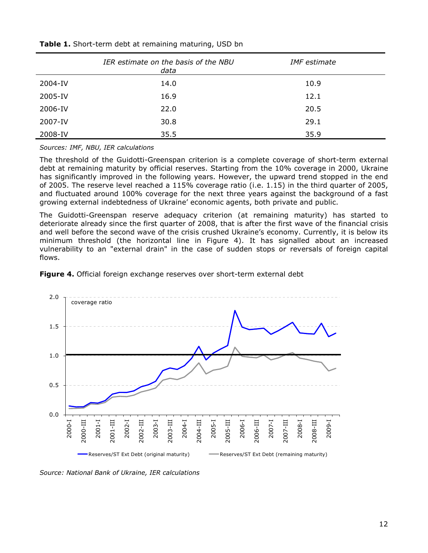|         | IER estimate on the basis of the NBU<br>data | <b>IMF</b> estimate |
|---------|----------------------------------------------|---------------------|
| 2004-IV | 14.0                                         | 10.9                |
| 2005-IV | 16.9                                         | 12.1                |
| 2006-IV | 22.0                                         | 20.5                |
| 2007-IV | 30.8                                         | 29.1                |
| 2008-IV | 35.5                                         | 35.9                |

#### Table 1. Short-term debt at remaining maturing, USD bn

Sources: IMF, NBU, IER calculations

The threshold of the Guidotti-Greenspan criterion is a complete coverage of short-term external debt at remaining maturity by official reserves. Starting from the 10% coverage in 2000, Ukraine has significantly improved in the following years. However, the upward trend stopped in the end of 2005. The reserve level reached a 115% coverage ratio (i.e. 1.15) in the third quarter of 2005, and fluctuated around 100% coverage for the next three years against the background of a fast growing external indebtedness of Ukraine' economic agents, both private and public.

The Guidotti-Greenspan reserve adequacy criterion (at remaining maturity) has started to deteriorate already since the first quarter of 2008, that is after the first wave of the financial crisis and well before the second wave of the crisis crushed Ukraine's economy. Currently, it is below its minimum threshold (the horizontal line in Figure 4). It has signalled about an increased vulnerability to an "external drain" in the case of sudden stops or reversals of foreign capital flows.

Figure 4. Official foreign exchange reserves over short-term external debt



Source: National Bank of Ukraine, IER calculations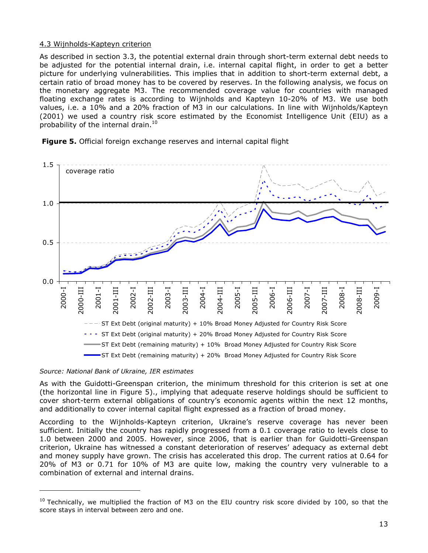## 4.3 Wijnholds-Kapteyn criterion

As described in section 3.3, the potential external drain through short-term external debt needs to be adjusted for the potential internal drain, i.e. internal capital flight, in order to get a better picture for underlying vulnerabilities. This implies that in addition to short-term external debt, a certain ratio of broad money has to be covered by reserves. In the following analysis, we focus on the monetary aggregate M3. The recommended coverage value for countries with managed floating exchange rates is according to Wijnholds and Kapteyn 10-20% of M3. We use both values, i.e. a 10% and a 20% fraction of M3 in our calculations. In line with Wijnholds/Kapteyn (2001) we used a country risk score estimated by the Economist Intelligence Unit (EIU) as a probability of the internal drain.<sup>10</sup>



Figure 5. Official foreign exchange reserves and internal capital flight

#### Source: National Bank of Ukraine, IER estimates

l

As with the Guidotti-Greenspan criterion, the minimum threshold for this criterion is set at one (the horizontal line in Figure 5)., implying that adequate reserve holdings should be sufficient to cover short-term external obligations of country's economic agents within the next 12 months, and additionally to cover internal capital flight expressed as a fraction of broad money.

According to the Wijnholds-Kapteyn criterion, Ukraine's reserve coverage has never been sufficient. Initially the country has rapidly progressed from a 0.1 coverage ratio to levels close to 1.0 between 2000 and 2005. However, since 2006, that is earlier than for Guidotti-Greenspan criterion, Ukraine has witnessed a constant deterioration of reserves' adequacy as external debt and money supply have grown. The crisis has accelerated this drop. The current ratios at 0.64 for 20% of M3 or 0.71 for 10% of M3 are quite low, making the country very vulnerable to a combination of external and internal drains.

 $10$  Technically, we multiplied the fraction of M3 on the EIU country risk score divided by 100, so that the score stays in interval between zero and one.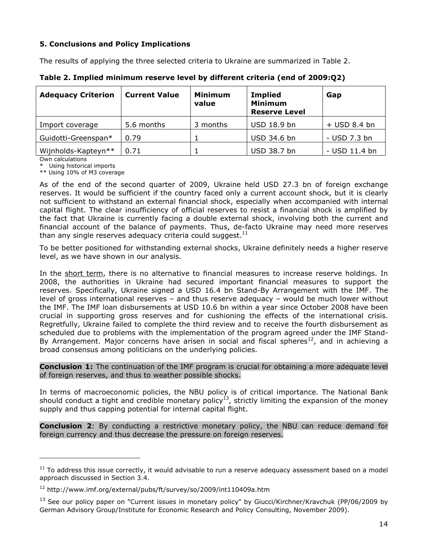# 5. Conclusions and Policy Implications

The results of applying the three selected criteria to Ukraine are summarized in Table 2.

| <b>Adequacy Criterion</b> | <b>Current Value</b> | <b>Minimum</b><br>value | <b>Implied</b><br><b>Minimum</b><br><b>Reserve Level</b> | Gap            |
|---------------------------|----------------------|-------------------------|----------------------------------------------------------|----------------|
| Import coverage           | 5.6 months           | 3 months                | USD 18.9 bn                                              | $+$ USD 8.4 bn |
| Guidotti-Greenspan*       | 0.79                 |                         | USD 34.6 bn                                              | - USD 7.3 bn   |
| Wijnholds-Kapteyn**       | 0.71                 |                         | USD 38.7 bn                                              | - USD 11.4 bn  |

Table 2. Implied minimum reserve level by different criteria (end of 2009:Q2)

Own calculations

l

\* Using historical imports \*\* Using 10% of M3 coverage

As of the end of the second quarter of 2009, Ukraine held USD 27.3 bn of foreign exchange reserves. It would be sufficient if the country faced only a current account shock, but it is clearly not sufficient to withstand an external financial shock, especially when accompanied with internal capital flight. The clear insufficiency of official reserves to resist a financial shock is amplified by the fact that Ukraine is currently facing a double external shock, involving both the current and financial account of the balance of payments. Thus, de-facto Ukraine may need more reserves than any single reserves adequacy criteria could suggest. $^{\rm 11}$ 

To be better positioned for withstanding external shocks, Ukraine definitely needs a higher reserve level, as we have shown in our analysis.

In the short term, there is no alternative to financial measures to increase reserve holdings. In 2008, the authorities in Ukraine had secured important financial measures to support the reserves. Specifically, Ukraine signed a USD 16.4 bn Stand-By Arrangement with the IMF. The level of gross international reserves – and thus reserve adequacy – would be much lower without the IMF. The IMF loan disbursements at USD 10.6 bn within a year since October 2008 have been crucial in supporting gross reserves and for cushioning the effects of the international crisis. Regretfully, Ukraine failed to complete the third review and to receive the fourth disbursement as scheduled due to problems with the implementation of the program agreed under the IMF Stand-By Arrangement. Major concerns have arisen in social and fiscal spheres $^{12}$ , and in achieving a broad consensus among politicians on the underlying policies.

#### **Conclusion 1:** The continuation of the IMF program is crucial for obtaining a more adequate level of foreign reserves, and thus to weather possible shocks.

In terms of macroeconomic policies, the NBU policy is of critical importance. The National Bank should conduct a tight and credible monetary policy<sup>13</sup>, strictly limiting the expansion of the money supply and thus capping potential for internal capital flight.

**Conclusion 2:** By conducting a restrictive monetary policy, the NBU can reduce demand for foreign currency and thus decrease the pressure on foreign reserves.

 $11$  To address this issue correctly, it would advisable to run a reserve adequacy assessment based on a model approach discussed in Section 3.4.

<sup>12</sup> http://www.imf.org/external/pubs/ft/survey/so/2009/int110409a.htm

<sup>&</sup>lt;sup>13</sup> See our policy paper on "Current issues in monetary policy" by Giucci/Kirchner/Kravchuk (PP/06/2009 by German Advisory Group/Institute for Economic Research and Policy Consulting, November 2009).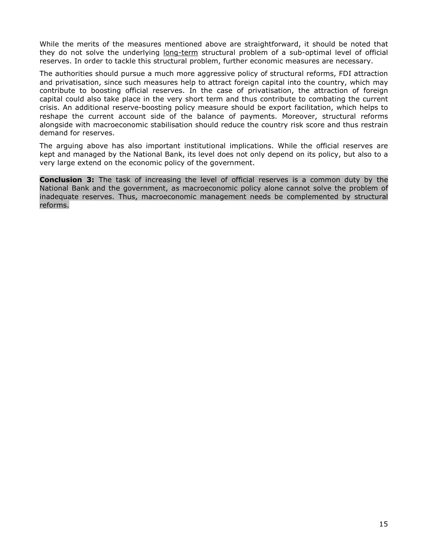While the merits of the measures mentioned above are straightforward, it should be noted that they do not solve the underlying long-term structural problem of a sub-optimal level of official reserves. In order to tackle this structural problem, further economic measures are necessary.

The authorities should pursue a much more aggressive policy of structural reforms, FDI attraction and privatisation, since such measures help to attract foreign capital into the country, which may contribute to boosting official reserves. In the case of privatisation, the attraction of foreign capital could also take place in the very short term and thus contribute to combating the current crisis. An additional reserve-boosting policy measure should be export facilitation, which helps to reshape the current account side of the balance of payments. Moreover, structural reforms alongside with macroeconomic stabilisation should reduce the country risk score and thus restrain demand for reserves.

The arguing above has also important institutional implications. While the official reserves are kept and managed by the National Bank, its level does not only depend on its policy, but also to a very large extend on the economic policy of the government.

**Conclusion 3:** The task of increasing the level of official reserves is a common duty by the National Bank and the government, as macroeconomic policy alone cannot solve the problem of inadequate reserves. Thus, macroeconomic management needs be complemented by structural reforms.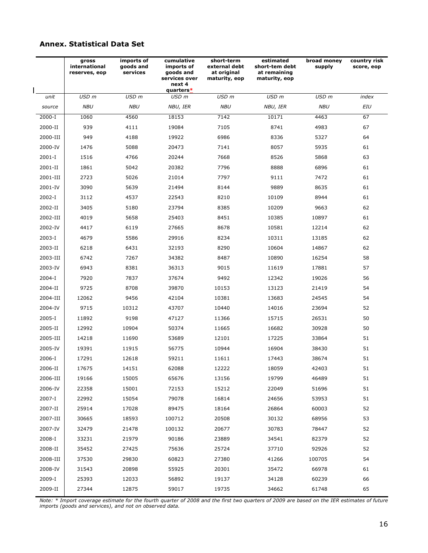## Annex. Statistical Data Set

|            | gross<br>international<br>reserves, eop | imports of<br>goods and<br>services | cumulative<br>imports of<br>goods and<br>services over<br>next 4<br>quarters* | short-term<br>external debt<br>at original<br>maturity, eop | estimated<br>short-tem debt<br>at remaining<br>maturity, eop | broad money<br>supply | country risk<br>score, eop |
|------------|-----------------------------------------|-------------------------------------|-------------------------------------------------------------------------------|-------------------------------------------------------------|--------------------------------------------------------------|-----------------------|----------------------------|
| unit       | USD <sub>m</sub>                        | USD <sub>m</sub>                    | USD m                                                                         | USD <sub>m</sub>                                            | USD m                                                        | USD <sub>m</sub>      | index                      |
| source     | <b>NBU</b>                              | <b>NBU</b>                          | NBU, IER                                                                      | <b>NBU</b>                                                  | NBU, IER                                                     | <b>NBU</b>            | EIU                        |
| 2000-I     | 1060                                    | 4560                                | 18153                                                                         | 7142                                                        | 10171                                                        | 4463                  | 67                         |
| 2000-II    | 939                                     | 4111                                | 19084                                                                         | 7105                                                        | 8741                                                         | 4983                  | 67                         |
| 2000-III   | 949                                     | 4188                                | 19922                                                                         | 6986                                                        | 8336                                                         | 5327                  | 64                         |
| 2000-IV    | 1476                                    | 5088                                | 20473                                                                         | 7141                                                        | 8057                                                         | 5935                  | 61                         |
| $2001 - I$ | 1516                                    | 4766                                | 20244                                                                         | 7668                                                        | 8526                                                         | 5868                  | 63                         |
| 2001-II    | 1861                                    | 5042                                | 20382                                                                         | 7796                                                        | 8888                                                         | 6896                  | 61                         |
| 2001-III   | 2723                                    | 5026                                | 21014                                                                         | 7797                                                        | 9111                                                         | 7472                  | 61                         |
| 2001-IV    | 3090                                    | 5639                                | 21494                                                                         | 8144                                                        | 9889                                                         | 8635                  | 61                         |
| 2002-I     | 3112                                    | 4537                                | 22543                                                                         | 8210                                                        | 10109                                                        | 8944                  | 61                         |
| 2002-II    | 3405                                    | 5180                                | 23794                                                                         | 8385                                                        | 10209                                                        | 9663                  | 62                         |
| 2002-III   | 4019                                    | 5658                                | 25403                                                                         | 8451                                                        | 10385                                                        | 10897                 | 61                         |
| 2002-IV    | 4417                                    | 6119                                | 27665                                                                         | 8678                                                        | 10581                                                        | 12214                 | 62                         |
| 2003-I     | 4679                                    | 5586                                | 29916                                                                         | 8234                                                        | 10311                                                        | 13185                 | 62                         |
| 2003-II    | 6218                                    | 6431                                | 32193                                                                         | 8290                                                        | 10604                                                        | 14867                 | 62                         |
| 2003-III   | 6742                                    | 7267                                | 34382                                                                         | 8487                                                        | 10890                                                        | 16254                 | 58                         |
| 2003-IV    | 6943                                    | 8381                                | 36313                                                                         | 9015                                                        | 11619                                                        | 17881                 | 57                         |
| 2004-I     | 7920                                    | 7837                                | 37674                                                                         | 9492                                                        | 12342                                                        | 19026                 | 56                         |
| 2004-II    | 9725                                    | 8708                                | 39870                                                                         | 10153                                                       | 13123                                                        | 21419                 | 54                         |
| 2004-III   | 12062                                   | 9456                                | 42104                                                                         | 10381                                                       | 13683                                                        | 24545                 | 54                         |
| 2004-IV    | 9715                                    | 10312                               | 43707                                                                         | 10440                                                       | 14016                                                        | 23694                 | 52                         |
| 2005-I     | 11892                                   | 9198                                | 47127                                                                         | 11366                                                       | 15715                                                        | 26531                 | 50                         |
| 2005-II    | 12992                                   | 10904                               | 50374                                                                         | 11665                                                       | 16682                                                        | 30928                 | 50                         |
| 2005-III   | 14218                                   | 11690                               | 53689                                                                         | 12101                                                       | 17225                                                        | 33864                 | 51                         |
| 2005-IV    | 19391                                   | 11915                               | 56775                                                                         | 10944                                                       | 16904                                                        | 38430                 | 51                         |
| 2006-I     | 17291                                   | 12618                               | 59211                                                                         | 11611                                                       | 17443                                                        | 38674                 | 51                         |
| 2006-II    | 17675                                   | 14151                               | 62088                                                                         | 12222                                                       | 18059                                                        | 42403                 | 51                         |
| 2006-III   | 19166                                   | 15005                               | 65676                                                                         | 13156                                                       | 19799                                                        | 46489                 | 51                         |
| 2006-IV    | 22358                                   | 15001                               | 72153                                                                         | 15212                                                       | 22049                                                        | 51696                 | 51                         |
| 2007-I     | 22992                                   | 15054                               | 79078                                                                         | 16814                                                       | 24656                                                        | 53953                 | 51                         |
| 2007-II    | 25914                                   | 17028                               | 89475                                                                         | 18164                                                       | 26864                                                        | 60003                 | 52                         |
| 2007-III   | 30665                                   | 18593                               | 100712                                                                        | 20508                                                       | 30132                                                        | 68956                 | 53                         |
| 2007-IV    | 32479                                   | 21478                               | 100132                                                                        | 20677                                                       | 30783                                                        | 78447                 | 52                         |
| 2008-I     | 33231                                   | 21979                               | 90186                                                                         | 23889                                                       | 34541                                                        | 82379                 | 52                         |
| 2008-II    | 35452                                   | 27425                               | 75636                                                                         | 25724                                                       | 37710                                                        | 92926                 | 52                         |
| 2008-III   | 37530                                   | 29830                               | 60823                                                                         | 27380                                                       | 41266                                                        | 100705                | 54                         |
| 2008-IV    | 31543                                   | 20898                               | 55925                                                                         | 20301                                                       | 35472                                                        | 66978                 | 61                         |
| 2009-I     | 25393                                   | 12033                               | 56892                                                                         | 19137                                                       | 34128                                                        | 60239                 | 66                         |
| 2009-II    | 27344                                   | 12875                               | 59017                                                                         | 19735                                                       | 34662                                                        | 61748                 | 65                         |

Note: \* Import coverage estimate for the fourth quarter of 2008 and the first two quarters of 2009 are based on the IER estimates of future imports (goods and services), and not on observed data.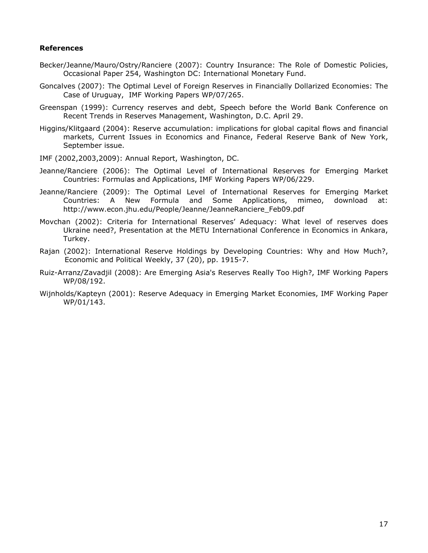## References

- Becker/Jeanne/Mauro/Ostry/Ranciere (2007): Country Insurance: The Role of Domestic Policies, Occasional Paper 254, Washington DC: International Monetary Fund.
- Goncalves (2007): The Optimal Level of Foreign Reserves in Financially Dollarized Economies: The Case of Uruguay, IMF Working Papers WP/07/265.
- Greenspan (1999): Currency reserves and debt, Speech before the World Bank Conference on Recent Trends in Reserves Management, Washington, D.C. April 29.
- Higgins/Klitgaard (2004): Reserve accumulation: implications for global capital flows and financial markets, Current Issues in Economics and Finance, Federal Reserve Bank of New York, September issue.
- IMF (2002,2003,2009): Annual Report, Washington, DC.
- Jeanne/Ranciere (2006): The Optimal Level of International Reserves for Emerging Market Countries: Formulas and Applications, IMF Working Papers WP/06/229.
- Jeanne/Ranciere (2009): The Optimal Level of International Reserves for Emerging Market Countries: A New Formula and Some Applications, mimeo, download at: http://www.econ.jhu.edu/People/Jeanne/JeanneRanciere\_Feb09.pdf
- Movchan (2002): Criteria for International Reserves' Adequacy: What level of reserves does Ukraine need?, Presentation at the METU International Conference in Economics in Ankara, Turkey.
- Rajan (2002): International Reserve Holdings by Developing Countries: Why and How Much?, Economic and Political Weekly, 37 (20), pp. 1915-7.
- Ruiz-Arranz/Zavadjil (2008): Are Emerging Asia's Reserves Really Too High?, IMF Working Papers WP/08/192.
- Wijnholds/Kapteyn (2001): Reserve Adequacy in Emerging Market Economies, IMF Working Paper WP/01/143.